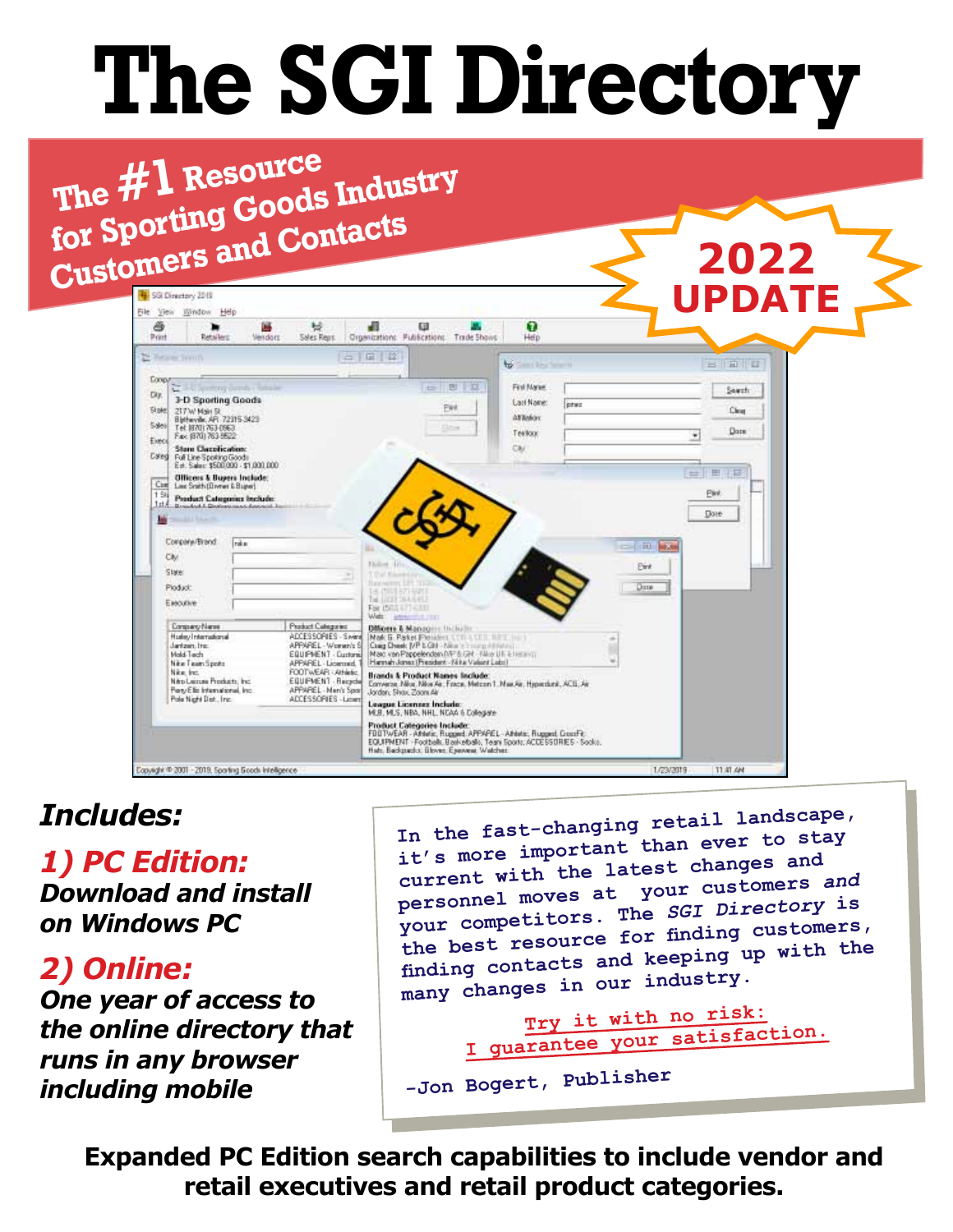# **The SGI Directory**

 **The #1 Resource**  The **# 1 Resource**<br>for Sporting Goods Industry **Customers and Contacts**

|                                                                      | Window Help<br>œ         | ы                                           | 田                                                                                                                                                | G.                         |                   | <b>UPDATE</b>            |
|----------------------------------------------------------------------|--------------------------|---------------------------------------------|--------------------------------------------------------------------------------------------------------------------------------------------------|----------------------------|-------------------|--------------------------|
| â<br>Print<br><b>Retailers</b>                                       | Vendoro                  | Sales Rent                                  | Organizations: Publications: Trade Shows:                                                                                                        | Help                       |                   |                          |
| New York Council of                                                  |                          |                                             | 占目當                                                                                                                                              | <b>William Text</b>        |                   | 日日田                      |
| <b>Longy</b>                                                         |                          |                                             |                                                                                                                                                  |                            |                   |                          |
| u                                                                    | 3-U Spring Gords - Odale |                                             | 围<br>罗<br>$\leftarrow$                                                                                                                           | First Mariae               |                   | Sauth                    |
| 3-D Sporting Goods<br><b>Slote</b><br>2TTW Main St                   |                          |                                             | Pet                                                                                                                                              | <b>Carl Name:</b><br>inter |                   | Clear                    |
| Bletwyde, AR, 72315-3423<br>Sales<br>Tel: (870) 763-0963             |                          |                                             | <b>Time</b>                                                                                                                                      | <b>ATTMOV</b>              |                   | Dore                     |
| Fax: (870) 763-9522<br>Elect<br><b>Store Classification:</b>         |                          |                                             |                                                                                                                                                  | Techood<br>CM              | ٠                 |                          |
| Eated Full Line Spoking Goods<br>Est. Salar: \$500,000 - \$1,000,000 |                          |                                             |                                                                                                                                                  |                            |                   |                          |
| <b>Officers &amp; Buyers Include:</b>                                |                          |                                             |                                                                                                                                                  |                            | $\pm$             | 田<br>$\overline{\omega}$ |
| Com<br>Law Snith (Diversi & Bugar)<br>1.94                           |                          |                                             |                                                                                                                                                  |                            |                   | <b>EWK</b>               |
| 134 Product Categories Include:                                      |                          |                                             |                                                                                                                                                  |                            |                   | Dote:                    |
| <b>Second Link Collection</b><br><b>Any</b>                          |                          |                                             |                                                                                                                                                  |                            |                   |                          |
|                                                                      |                          |                                             |                                                                                                                                                  |                            |                   |                          |
| Company/Brand                                                        | Inke                     |                                             |                                                                                                                                                  |                            |                   |                          |
| <b>Civ.</b>                                                          |                          |                                             |                                                                                                                                                  |                            | 面<br><b>MELSE</b> |                          |
| <b>State:</b>                                                        |                          |                                             | Finding 121.                                                                                                                                     |                            | Eint              |                          |
| Ploducin                                                             |                          |                                             | on 181 You<br>ta dintazi kat                                                                                                                     |                            | Dane              |                          |
| Elecutive                                                            |                          |                                             | THE LEGAL COLUMN PRO<br>For ISSS & THEFT                                                                                                         |                            |                   |                          |
| Congrany Name                                                        |                          | Product Categories                          | Web: president<br><b>Difficers &amp; Mangoine Includer:</b>                                                                                      |                            |                   |                          |
| Huskey International<br>Jantzen, Iran                                |                          | ADCESSORIES - Swimi<br>APPAREL-Women's B    | Mak G. Paket President COLLAND LINE (in 1)                                                                                                       |                            |                   |                          |
| Mold-Tech                                                            |                          | EQUIPMENT - Cuntania                        | Craig Check J/P L GN - King in hung Attitude                                                                                                     |                            |                   |                          |
| Nike Team Spots<br>Nike, Inc.                                        |                          | APPAPEL-Liommed<br>FOOTWEAR : Athletic      | Mac von Poppelenden MP 6 GH / Nixe UII is heterott.<br>Harman Jones (Fresident - Nike Valent Labs)<br><b>Brands &amp; Product Names Include:</b> |                            |                   |                          |
| Nep Leines Products, Inc.<br>Perty Ellis International, Inc.         |                          | EQUIPMENT - Recycle<br>APPAREL - Men's Spor | Converse Nike Nike Air, Frace, Metcon 1. Max Air, Hyperduni, ACE, Air<br>Jardan, Shaw Zoom Air                                                   |                            |                   |                          |
| Pole Night Dat. Inc.                                                 |                          | ADCESSORIES - Ligam                         | League Licenses Include:                                                                                                                         |                            |                   |                          |
|                                                                      |                          |                                             | MLB, MLS, NBA, NHL, NCAA 5 Collegiate<br><b>Product Categories Include:</b><br>FOOTWEAR - Afrika, Rugged APPAPEL - Afrika, Rugged, GoodFit.      |                            |                   |                          |
|                                                                      |                          |                                             |                                                                                                                                                  |                            |                   |                          |

# *Includes:*

*1) PC Edition: Download and install on Windows PC*

*2) Online:*

*One year of access to the online directory that runs in any browser including mobile*

**In the fast-changing retail landscape, it's more important than ever to stay current with the latest changes an<sup>d</sup> personnel moves at your customers** *and* **your competitors. The** *SGI Directory* **is the best resource for finding customers, finding contacts and keeping up with the many changes in our industry.**

**2022**

```
Try it with no risk:
I guarantee your satisfaction.
```

```
-Jon Bogert, Publisher
```
**Expanded PC Edition search capabilities to include vendor and retail executives and retail product categories.**